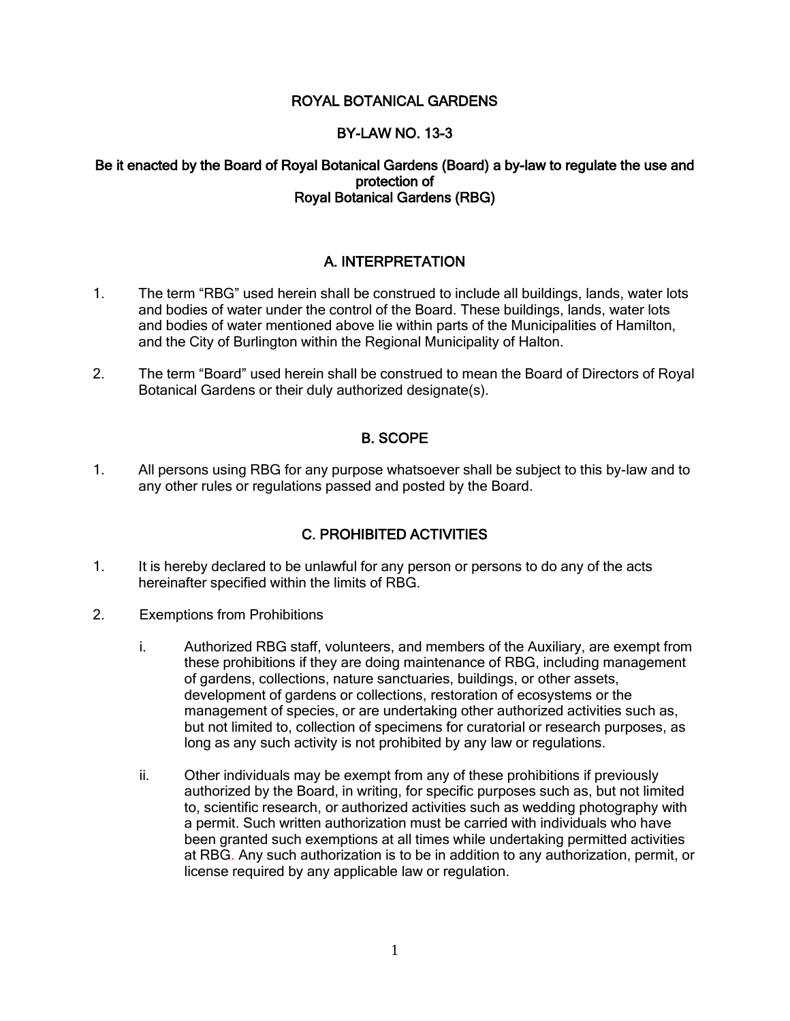## ROYAL BOTANICAL GARDENS

## BY-LAW NO. 13-3

#### Be it enacted by the Board of Royal Botanical Gardens (Board) a by-law to regulate the use and protection of Royal Botanical Gardens (RBG)

## A. INTERPRETATION

- 1. The term "RBG" used herein shall be construed to include all buildings, lands, water lots and bodies of water under the control of the Board. These buildings, lands, water lots and bodies of water mentioned above lie within parts of the Municipalities of Hamilton, and the City of Burlington within the Regional Municipality of Halton.
- 2. The term "Board" used herein shall be construed to mean the Board of Directors of Royal Botanical Gardens or their duly authorized designate(s).

## B. SCOPE

1. All persons using RBG for any purpose whatsoever shall be subject to this by-law and to any other rules or regulations passed and posted by the Board.

## C. PROHIBITED ACTIVITIES

- 1. It is hereby declared to be unlawful for any person or persons to do any of the acts hereinafter specified within the limits of RBG.
- 2. Exemptions from Prohibitions
	- i. Authorized RBG staff, volunteers, and members of the Auxiliary, are exempt from these prohibitions if they are doing maintenance of RBG, including management of gardens, collections, nature sanctuaries, buildings, or other assets, development of gardens or collections, restoration of ecosystems or the management of species, or are undertaking other authorized activities such as, but not limited to, collection of specimens for curatorial or research purposes, as long as any such activity is not prohibited by any law or regulations.
	- ii. Other individuals may be exempt from any of these prohibitions if previously authorized by the Board, in writing, for specific purposes such as, but not limited to, scientific research, or authorized activities such as wedding photography with a permit. Such written authorization must be carried with individuals who have been granted such exemptions at all times while undertaking permitted activities at RBG. Any such authorization is to be in addition to any authorization, permit, or license required by any applicable law or regulation.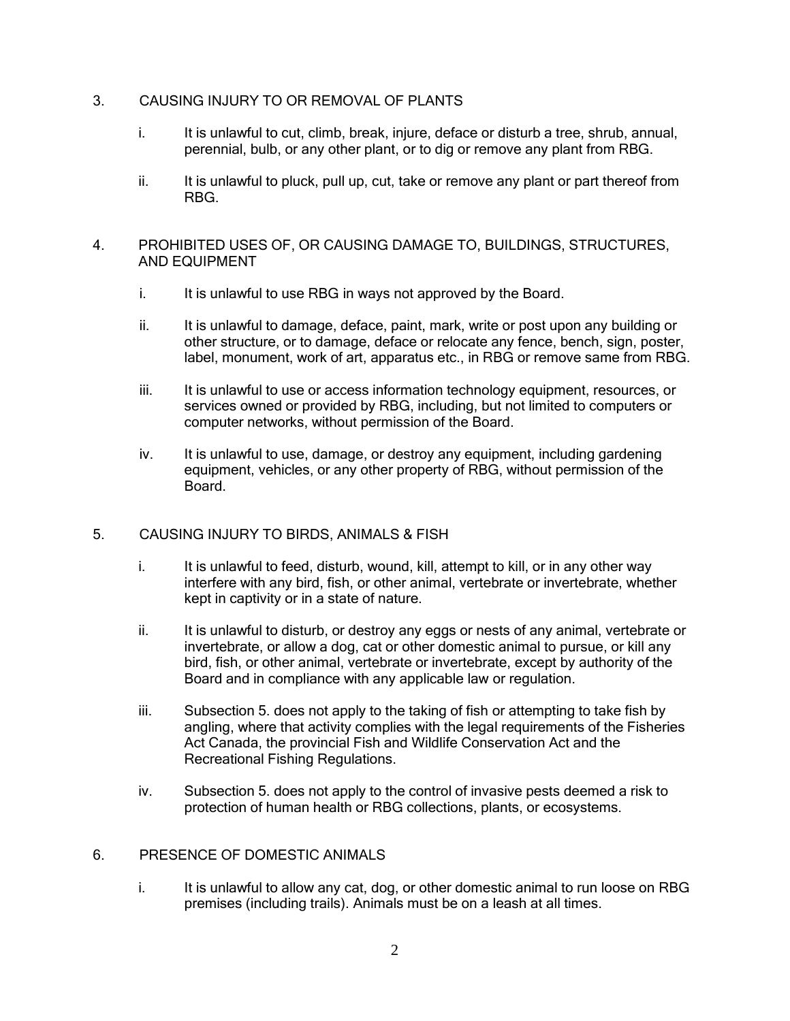## 3. CAUSING INJURY TO OR REMOVAL OF PLANTS

- i. It is unlawful to cut, climb, break, injure, deface or disturb a tree, shrub, annual, perennial, bulb, or any other plant, or to dig or remove any plant from RBG.
- ii. It is unlawful to pluck, pull up, cut, take or remove any plant or part thereof from RBG.

#### 4. PROHIBITED USES OF, OR CAUSING DAMAGE TO, BUILDINGS, STRUCTURES, AND EQUIPMENT

- i. It is unlawful to use RBG in ways not approved by the Board.
- ii. It is unlawful to damage, deface, paint, mark, write or post upon any building or other structure, or to damage, deface or relocate any fence, bench, sign, poster, label, monument, work of art, apparatus etc., in RBG or remove same from RBG.
- iii. It is unlawful to use or access information technology equipment, resources, or services owned or provided by RBG, including, but not limited to computers or computer networks, without permission of the Board.
- iv. It is unlawful to use, damage, or destroy any equipment, including gardening equipment, vehicles, or any other property of RBG, without permission of the Board.

## 5. CAUSING INJURY TO BIRDS, ANIMALS & FISH

- i. It is unlawful to feed, disturb, wound, kill, attempt to kill, or in any other way interfere with any bird, fish, or other animal, vertebrate or invertebrate, whether kept in captivity or in a state of nature.
- ii. It is unlawful to disturb, or destroy any eggs or nests of any animal, vertebrate or invertebrate, or allow a dog, cat or other domestic animal to pursue, or kill any bird, fish, or other animal, vertebrate or invertebrate, except by authority of the Board and in compliance with any applicable law or regulation.
- iii. Subsection 5. does not apply to the taking of fish or attempting to take fish by angling, where that activity complies with the legal requirements of the Fisheries Act Canada, the provincial Fish and Wildlife Conservation Act and the Recreational Fishing Regulations.
- iv. Subsection 5. does not apply to the control of invasive pests deemed a risk to protection of human health or RBG collections, plants, or ecosystems.

#### 6. PRESENCE OF DOMESTIC ANIMALS

i. It is unlawful to allow any cat, dog, or other domestic animal to run loose on RBG premises (including trails). Animals must be on a leash at all times.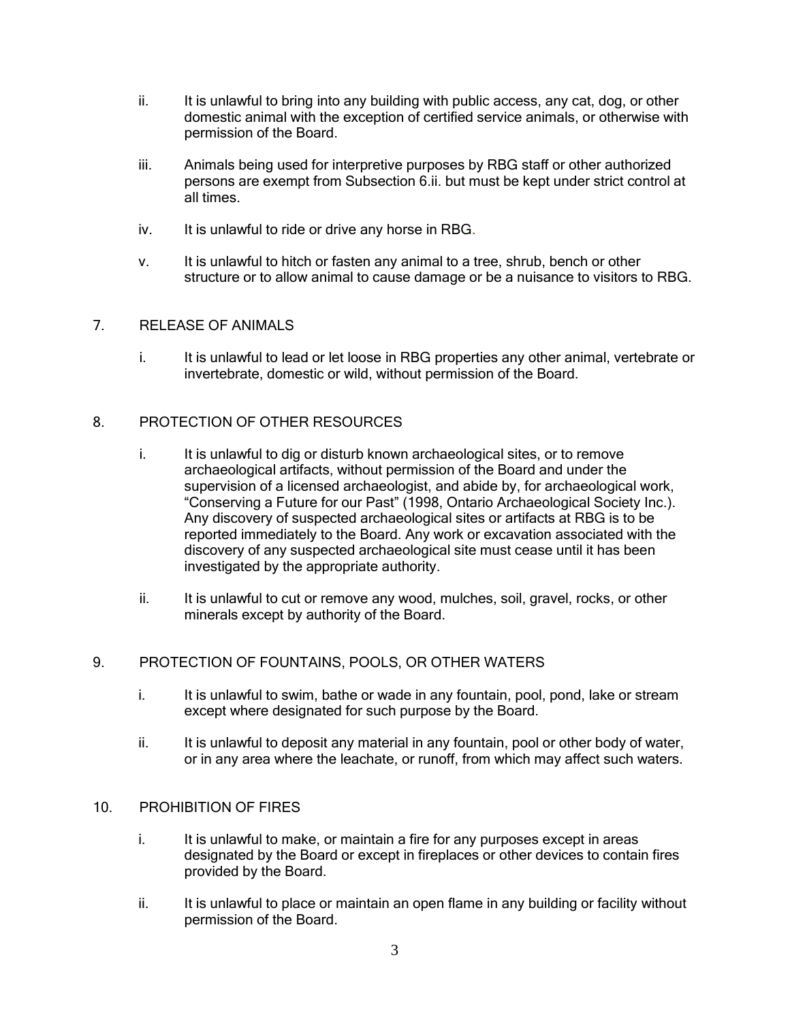- ii. It is unlawful to bring into any building with public access, any cat, dog, or other domestic animal with the exception of certified service animals, or otherwise with permission of the Board.
- iii. Animals being used for interpretive purposes by RBG staff or other authorized persons are exempt from Subsection 6.ii. but must be kept under strict control at all times.
- iv. It is unlawful to ride or drive any horse in RBG.
- v. It is unlawful to hitch or fasten any animal to a tree, shrub, bench or other structure or to allow animal to cause damage or be a nuisance to visitors to RBG.

## 7. RELEASE OF ANIMALS

i. It is unlawful to lead or let loose in RBG properties any other animal, vertebrate or invertebrate, domestic or wild, without permission of the Board.

### 8. PROTECTION OF OTHER RESOURCES

- i. It is unlawful to dig or disturb known archaeological sites, or to remove archaeological artifacts, without permission of the Board and under the supervision of a licensed archaeologist, and abide by, for archaeological work, "Conserving a Future for our Past" (1998, Ontario Archaeological Society Inc.). Any discovery of suspected archaeological sites or artifacts at RBG is to be reported immediately to the Board. Any work or excavation associated with the discovery of any suspected archaeological site must cease until it has been investigated by the appropriate authority.
- ii. It is unlawful to cut or remove any wood, mulches, soil, gravel, rocks, or other minerals except by authority of the Board.

## 9. PROTECTION OF FOUNTAINS, POOLS, OR OTHER WATERS

- i. It is unlawful to swim, bathe or wade in any fountain, pool, pond, lake or stream except where designated for such purpose by the Board.
- ii. It is unlawful to deposit any material in any fountain, pool or other body of water, or in any area where the leachate, or runoff, from which may affect such waters.

#### 10. PROHIBITION OF FIRES

- i. It is unlawful to make, or maintain a fire for any purposes except in areas designated by the Board or except in fireplaces or other devices to contain fires provided by the Board.
- ii. It is unlawful to place or maintain an open flame in any building or facility without permission of the Board.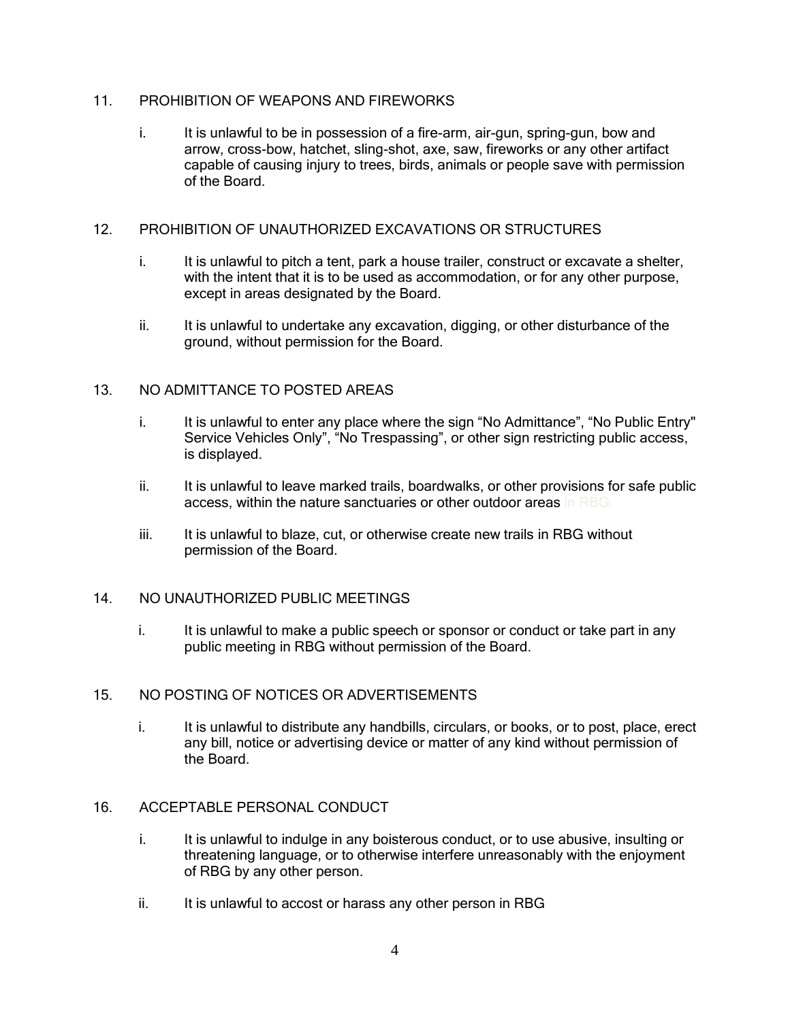#### 11. PROHIBITION OF WEAPONS AND FIREWORKS

i. It is unlawful to be in possession of a fire-arm, air-gun, spring-gun, bow and arrow, cross-bow, hatchet, sling-shot, axe, saw, fireworks or any other artifact capable of causing injury to trees, birds, animals or people save with permission of the Board.

#### 12. PROHIBITION OF UNAUTHORIZED EXCAVATIONS OR STRUCTURES

- i. It is unlawful to pitch a tent, park a house trailer, construct or excavate a shelter, with the intent that it is to be used as accommodation, or for any other purpose, except in areas designated by the Board.
- ii. It is unlawful to undertake any excavation, digging, or other disturbance of the ground, without permission for the Board.

## 13. NO ADMITTANCE TO POSTED AREAS

- i. It is unlawful to enter any place where the sign "No Admittance", "No Public Entry" Service Vehicles Only", "No Trespassing", or other sign restricting public access, is displayed.
- ii. It is unlawful to leave marked trails, boardwalks, or other provisions for safe public access, within the nature sanctuaries or other outdoor areas in RBG.
- iii. It is unlawful to blaze, cut, or otherwise create new trails in RBG without permission of the Board.

#### 14. NO UNAUTHORIZED PUBLIC MEETINGS

i. It is unlawful to make a public speech or sponsor or conduct or take part in any public meeting in RBG without permission of the Board.

#### 15. NO POSTING OF NOTICES OR ADVERTISEMENTS

i. It is unlawful to distribute any handbills, circulars, or books, or to post, place, erect any bill, notice or advertising device or matter of any kind without permission of the Board.

## 16. ACCEPTABLE PERSONAL CONDUCT

- i. It is unlawful to indulge in any boisterous conduct, or to use abusive, insulting or threatening language, or to otherwise interfere unreasonably with the enjoyment of RBG by any other person.
- ii. It is unlawful to accost or harass any other person in RBG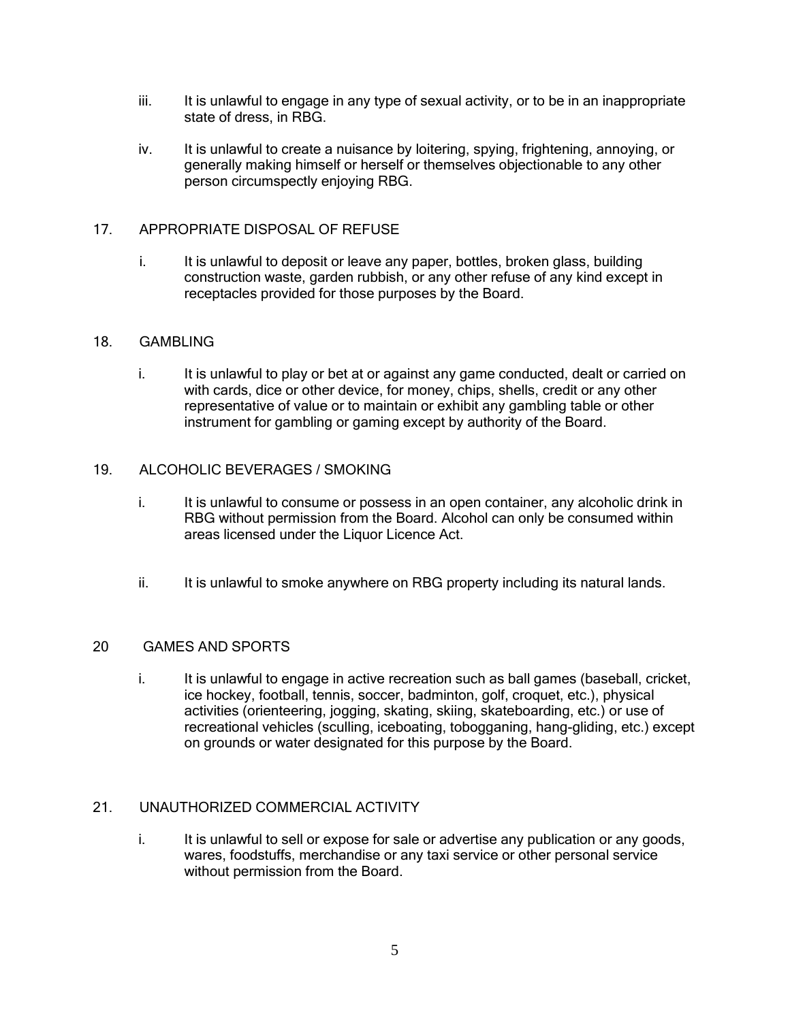- iii. It is unlawful to engage in any type of sexual activity, or to be in an inappropriate state of dress, in RBG.
- iv. It is unlawful to create a nuisance by loitering, spying, frightening, annoying, or generally making himself or herself or themselves objectionable to any other person circumspectly enjoying RBG.

## 17. APPROPRIATE DISPOSAL OF REFUSE

i. It is unlawful to deposit or leave any paper, bottles, broken glass, building construction waste, garden rubbish, or any other refuse of any kind except in receptacles provided for those purposes by the Board.

## 18. GAMBLING

i. It is unlawful to play or bet at or against any game conducted, dealt or carried on with cards, dice or other device, for money, chips, shells, credit or any other representative of value or to maintain or exhibit any gambling table or other instrument for gambling or gaming except by authority of the Board.

### 19. ALCOHOLIC BEVERAGES / SMOKING

- i. It is unlawful to consume or possess in an open container, any alcoholic drink in RBG without permission from the Board. Alcohol can only be consumed within areas licensed under the Liquor Licence Act.
- ii. It is unlawful to smoke anywhere on RBG property including its natural lands.

## 20 GAMES AND SPORTS

i. It is unlawful to engage in active recreation such as ball games (baseball, cricket, ice hockey, football, tennis, soccer, badminton, golf, croquet, etc.), physical activities (orienteering, jogging, skating, skiing, skateboarding, etc.) or use of recreational vehicles (sculling, iceboating, tobogganing, hang-gliding, etc.) except on grounds or water designated for this purpose by the Board.

## 21. UNAUTHORIZED COMMERCIAL ACTIVITY

i. It is unlawful to sell or expose for sale or advertise any publication or any goods, wares, foodstuffs, merchandise or any taxi service or other personal service without permission from the Board.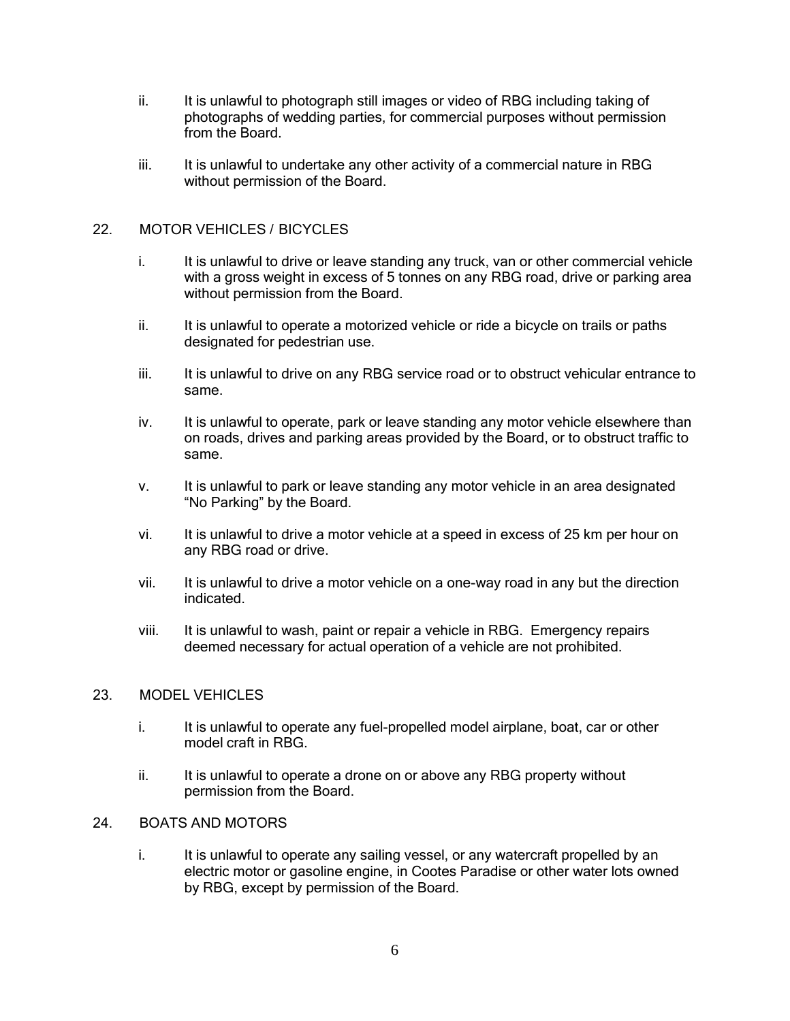- ii. It is unlawful to photograph still images or video of RBG including taking of photographs of wedding parties, for commercial purposes without permission from the Board.
- iii. It is unlawful to undertake any other activity of a commercial nature in RBG without permission of the Board.

### 22. MOTOR VEHICLES / BICYCLES

- i. It is unlawful to drive or leave standing any truck, van or other commercial vehicle with a gross weight in excess of 5 tonnes on any RBG road, drive or parking area without permission from the Board.
- ii. It is unlawful to operate a motorized vehicle or ride a bicycle on trails or paths designated for pedestrian use.
- iii. It is unlawful to drive on any RBG service road or to obstruct vehicular entrance to same.
- iv. It is unlawful to operate, park or leave standing any motor vehicle elsewhere than on roads, drives and parking areas provided by the Board, or to obstruct traffic to same.
- v. It is unlawful to park or leave standing any motor vehicle in an area designated "No Parking" by the Board.
- vi. It is unlawful to drive a motor vehicle at a speed in excess of 25 km per hour on any RBG road or drive.
- vii. It is unlawful to drive a motor vehicle on a one-way road in any but the direction indicated.
- viii. It is unlawful to wash, paint or repair a vehicle in RBG. Emergency repairs deemed necessary for actual operation of a vehicle are not prohibited.

#### 23. MODEL VEHICLES

- i. It is unlawful to operate any fuel-propelled model airplane, boat, car or other model craft in RBG.
- ii. It is unlawful to operate a drone on or above any RBG property without permission from the Board.

## 24. BOATS AND MOTORS

i. It is unlawful to operate any sailing vessel, or any watercraft propelled by an electric motor or gasoline engine, in Cootes Paradise or other water lots owned by RBG, except by permission of the Board.